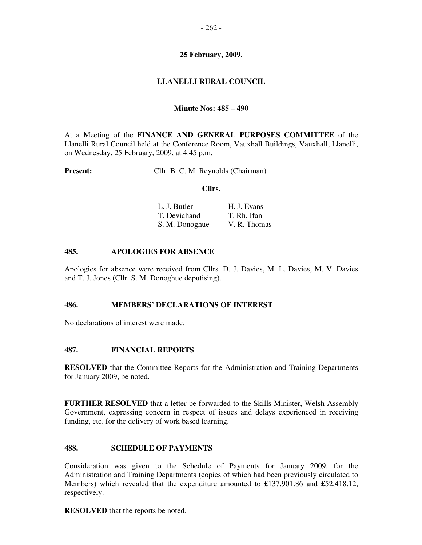# **25 February, 2009.**

# **LLANELLI RURAL COUNCIL**

# **Minute Nos: 485 – 490**

At a Meeting of the **FINANCE AND GENERAL PURPOSES COMMITTEE** of the Llanelli Rural Council held at the Conference Room, Vauxhall Buildings, Vauxhall, Llanelli, on Wednesday, 25 February, 2009, at 4.45 p.m.

**Present:** Cllr. B. C. M. Reynolds (Chairman)

#### **Cllrs.**

|  | L. J. Butler   | H. J. Evans  |
|--|----------------|--------------|
|  | T. Devichand   | T. Rh. Ifan  |
|  | S. M. Donoghue | V. R. Thomas |

### **485. APOLOGIES FOR ABSENCE**

Apologies for absence were received from Cllrs. D. J. Davies, M. L. Davies, M. V. Davies and T. J. Jones (Cllr. S. M. Donoghue deputising).

### **486. MEMBERS' DECLARATIONS OF INTEREST**

No declarations of interest were made.

### **487. FINANCIAL REPORTS**

**RESOLVED** that the Committee Reports for the Administration and Training Departments for January 2009, be noted.

**FURTHER RESOLVED** that a letter be forwarded to the Skills Minister, Welsh Assembly Government, expressing concern in respect of issues and delays experienced in receiving funding, etc. for the delivery of work based learning.

### **488. SCHEDULE OF PAYMENTS**

Consideration was given to the Schedule of Payments for January 2009, for the Administration and Training Departments (copies of which had been previously circulated to Members) which revealed that the expenditure amounted to £137,901.86 and £52,418.12, respectively.

**RESOLVED** that the reports be noted.